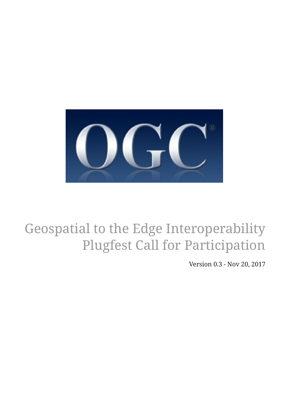

# Geospatial to the Edge Interoperability Plugfest Call for Participation

Version 0.3 - Nov 20, 2017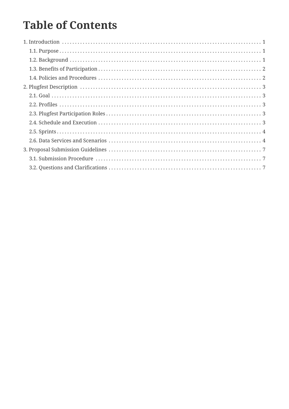## **Table of Contents**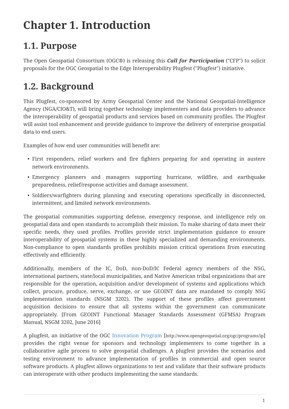## <span id="page-2-0"></span>**Chapter 1. Introduction**

## <span id="page-2-1"></span>**1.1. Purpose**

The Open Geospatial Consortium (OGC®) is releasing this *Call for Participation* ("CFP") to solicit proposals for the OGC Geospatial to the Edge Interoperability Plugfest ("Plugfest") initiative.

## <span id="page-2-2"></span>**1.2. Background**

This Plugfest, co-sponsored by Army Geospatial Center and the National Geospatial-Intelligence Agency (NGA/CIO&T), will bring together technology implementers and data providers to advance the interoperability of geospatial products and services based on community profiles. The Plugfest will assist tool enhancement and provide guidance to improve the delivery of enterprise geospatial data to end users.

Examples of how end user communities will benefit are:

- First responders, relief workers and fire fighters preparing for and operating in austere network environments.
- Emergency planners and managers supporting hurricane, wildfire, and earthquake preparedness, relief/response activities and damage assessment.
- Soldiers/warfighters during planning and executing operations specifically in disconnected, intermittent, and limited network environments.

The geospatial communities supporting defense, emergency response, and intelligence rely on geospatial data and open standards to accomplish their mission. To make sharing of data meet their specific needs, they used profiles. Profiles provide strict implementation guidance to ensure interoperability of geospatial systems in these highly specialized and demanding environments. Non-compliance to open standards profiles prohibits mission critical operations from executing effectively and efficiently.

Additionally, members of the IC, DoD, non-DoD/IC Federal agency members of the NSG, international partners, state/local municipalities, and Native American tribal organizations that are responsible for the operation, acquisition and/or development of systems and applications which collect, procure, produce, serve, exchange, or use GEOINT data are mandated to comply NSG implementation standards (NSGM 3202). The support of these profiles affect government acquisition decisions to ensure that all systems within the government can communicate appropriately. [From GEOINT Functional Manager Standards Assessment (GFMSA) Program Manual, NSGM 3202, June 2016]

A plugfest, an initiative of the OGC [Innovation Program](http://www.opengeospatial.org/ogc/programs/ip) [http://www.opengeospatial.org/ogc/programs/ip] provides the right venue for sponsors and technology implementers to come together in a collaborative agile process to solve geospatial challenges. A plugfest provides the scenarios and testing environment to advance implementation of profiles in commercial and open source software products. A plugfest allows organizations to test and validate that their software products can interoperate with other products implementing the same standards.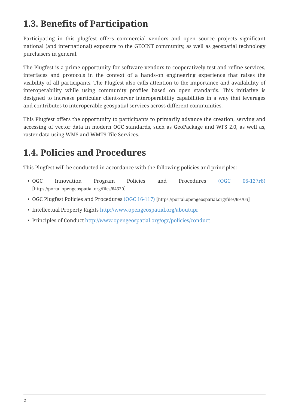### <span id="page-3-0"></span>**1.3. Benefits of Participation**

Participating in this plugfest offers commercial vendors and open source projects significant national (and international) exposure to the GEOINT community, as well as geospatial technology purchasers in general.

The Plugfest is a prime opportunity for software vendors to cooperatively test and refine services, interfaces and protocols in the context of a hands-on engineering experience that raises the visibility of all participants. The Plugfest also calls attention to the importance and availability of interoperability while using community profiles based on open standards. This initiative is designed to increase particular client-server interoperability capabilities in a way that leverages and contributes to interoperable geospatial services across different communities.

This Plugfest offers the opportunity to participants to primarily advance the creation, serving and accessing of vector data in modern OGC standards, such as GeoPackage and WFS 2.0, as well as, raster data using WMS and WMTS Tile Services.

## <span id="page-3-1"></span>**1.4. Policies and Procedures**

This Plugfest will be conducted in accordance with the following policies and principles:

- OGC Innovation Program Policies and Procedures [\(OGC 05-127r8\)](https://portal.opengeospatial.org/files/64320) [https://portal.opengeospatial.org/files/64320]
- OGC Plugfest Policies and Procedures [\(OGC 16-117\)](https://portal.opengeospatial.org/files/69705) [https://portal.opengeospatial.org/files/69705]
- Intellectual Property Rights<http://www.opengeospatial.org/about/ipr>
- Principles of Conduct <http://www.opengeospatial.org/ogc/policies/conduct>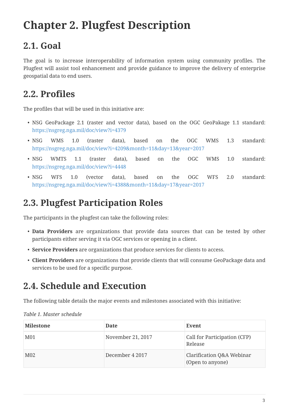## <span id="page-4-0"></span>**Chapter 2. Plugfest Description**

## <span id="page-4-1"></span>**2.1. Goal**

The goal is to increase interoperability of information system using community profiles. The Plugfest will assist tool enhancement and provide guidance to improve the delivery of enterprise geospatial data to end users.

#### <span id="page-4-2"></span>**2.2. Profiles**

The profiles that will be used in this initiative are:

- NSG GeoPackage 2.1 (raster and vector data), based on the OGC GeoPakage 1.1 standard: <https://nsgreg.nga.mil/doc/view?i=4379>
- NSG WMS 1.0 (raster data), based on the OGC WMS 1.3 standard: <https://nsgreg.nga.mil/doc/view?i=4209&month=11&day=13&year=2017>
- NSG WMTS 1.1 (raster data), based on the OGC WMS 1.0 standard: <https://nsgreg.nga.mil/doc/view?i=4448>
- NSG WFS 1.0 (vector data), based on the OGC WFS 2.0 standard: <https://nsgreg.nga.mil/doc/view?i=4388&month=11&day=17&year=2017>

#### <span id="page-4-3"></span>**2.3. Plugfest Participation Roles**

The participants in the plugfest can take the following roles:

- **Data Providers** are organizations that provide data sources that can be tested by other participants either serving it via OGC services or opening in a client.
- **Service Providers** are organizations that produce services for clients to access.
- **Client Providers** are organizations that provide clients that will consume GeoPackage data and services to be used for a specific purpose.

#### <span id="page-4-4"></span>**2.4. Schedule and Execution**

The following table details the major events and milestones associated with this initiative:

| Milestone       | <b>Date</b>       | Event                                         |
|-----------------|-------------------|-----------------------------------------------|
| M <sub>01</sub> | November 21, 2017 | Call for Participation (CFP)<br>Release       |
| M <sub>02</sub> | December 4 2017   | Clarification Q&A Webinar<br>(Open to anyone) |

*Table 1. Master schedule*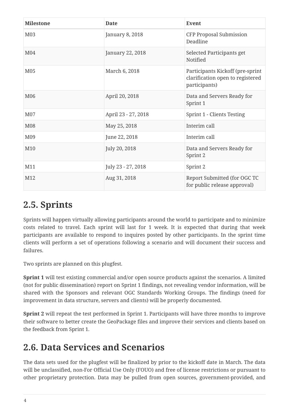| <b>Milestone</b> | <b>Date</b>         | Event                                                                                 |
|------------------|---------------------|---------------------------------------------------------------------------------------|
| M03              | January 8, 2018     | <b>CFP Proposal Submission</b><br>Deadline                                            |
| M <sub>04</sub>  | January 22, 2018    | Selected Participants get<br>Notified                                                 |
| M05              | March 6, 2018       | Participants Kickoff (pre-sprint<br>clarification open to registered<br>participants) |
| M06              | April 20, 2018      | Data and Servers Ready for<br>Sprint 1                                                |
| M07              | April 23 - 27, 2018 | Sprint 1 - Clients Testing                                                            |
| M08              | May 25, 2018        | Interim call                                                                          |
| M09              | June 22, 2018       | Interim call                                                                          |
| M10              | July 20, 2018       | Data and Servers Ready for<br>Sprint 2                                                |
| M11              | July 23 - 27, 2018  | Sprint 2                                                                              |
| M12              | Aug 31, 2018        | Report Submitted (for OGC TC<br>for public release approval)                          |

### <span id="page-5-0"></span>**2.5. Sprints**

Sprints will happen virtually allowing participants around the world to participate and to minimize costs related to travel. Each sprint will last for 1 week. It is expected that during that week participants are available to respond to inquires posted by other participants. In the sprint time clients will perform a set of operations following a scenario and will document their success and failures.

Two sprints are planned on this plugfest.

**Sprint 1** will test existing commercial and/or open source products against the scenarios. A limited (not for public dissemination) report on Sprint 1 findings, not revealing vendor information, will be shared with the Sponsors and relevant OGC Standards Working Groups. The findings (need for improvement in data structure, servers and clients) will be properly documented.

**Sprint 2** will repeat the test performed in Sprint 1. Participants will have three months to improve their software to better create the GeoPackage files and improve their services and clients based on the feedback from Sprint 1.

## <span id="page-5-1"></span>**2.6. Data Services and Scenarios**

The data sets used for the plugfest will be finalized by prior to the kickoff date in March. The data will be unclassified, non-For Official Use Only (FOUO) and free of license restrictions or pursuant to other proprietary protection. Data may be pulled from open sources, government-provided, and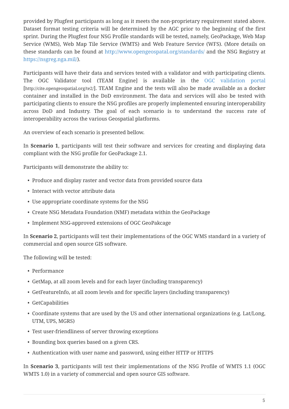provided by Plugfest participants as long as it meets the non-proprietary requirement stated above. Dataset format testing criteria will be determined by the AGC prior to the beginning of the first sprint. During the Plugfest four NSG Profile standards will be tested, namely, GeoPackage, Web Map Service (WMS), Web Map Tile Service (WMTS) and Web Feature Service (WFS). (More details on these standards can be found at <http://www.opengeospatal.org/standards/>and the NSG Registry at [https://nsgreg.nga.mil/\)](https://nsgreg.nga.mil/).

Participants will have their data and services tested with a validator and with participating clients. The OGC Validator tool (TEAM Engine] is available in the [OGC validation portal](http://cite.opengeospatial.org/te2/) [http://cite.opengeospatial.org/te2/]. TEAM Engine and the tests will also be made available as a docker container and installed in the DoD environment. The data and services will also be tested with participating clients to ensure the NSG profiles are properly implemented ensuring interoperability across DoD and Industry. The goal of each scenario is to understand the success rate of interoperability across the various Geospatial platforms.

An overview of each scenario is presented bellow.

In **Scenario 1**, participants will test their software and services for creating and displaying data compliant with the NSG profile for GeoPackage 2.1.

Participants will demonstrate the ability to:

- Produce and display raster and vector data from provided source data
- Interact with vector attribute data
- Use appropriate coordinate systems for the NSG
- Create NSG Metadata Foundation (NMF) metadata within the GeoPackage
- Implement NSG-approved extensions of OGC GeoPakcage

In **Scenario 2**, participants will test their implementations of the OGC WMS standard in a variety of commercial and open source GIS software.

The following will be tested:

- Performance
- GetMap, at all zoom levels and for each layer (including transparency)
- GetFeatureInfo, at all zoom levels and for specific layers (including transparency)
- GetCapabilities
- Coordinate systems that are used by the US and other international organizations (e.g. Lat/Long, UTM, UPS, MGRS)
- Test user-friendliness of server throwing exceptions
- Bounding box queries based on a given CRS.
- Authentication with user name and password, using either HTTP or HTTPS

In **Scenario 3**, participants will test their implementations of the NSG Profile of WMTS 1.1 (OGC WMTS 1.0) in a variety of commercial and open source GIS software.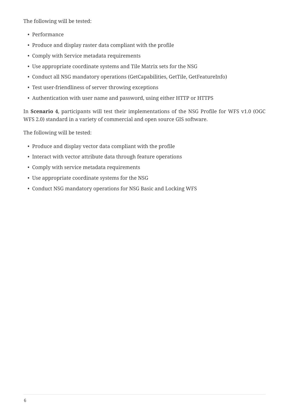The following will be tested:

- Performance
- Produce and display raster data compliant with the profile
- Comply with Service metadata requirements
- Use appropriate coordinate systems and Tile Matrix sets for the NSG
- Conduct all NSG mandatory operations (GetCapabilities, GetTile, GetFeatureInfo)
- Test user-friendliness of server throwing exceptions
- Authentication with user name and password, using either HTTP or HTTPS

In **Scenario 4**, participants will test their implementations of the NSG Profile for WFS v1.0 (OGC WFS 2.0) standard in a variety of commercial and open source GIS software.

The following will be tested:

- Produce and display vector data compliant with the profile
- Interact with vector attribute data through feature operations
- Comply with service metadata requirements
- Use appropriate coordinate systems for the NSG
- Conduct NSG mandatory operations for NSG Basic and Locking WFS